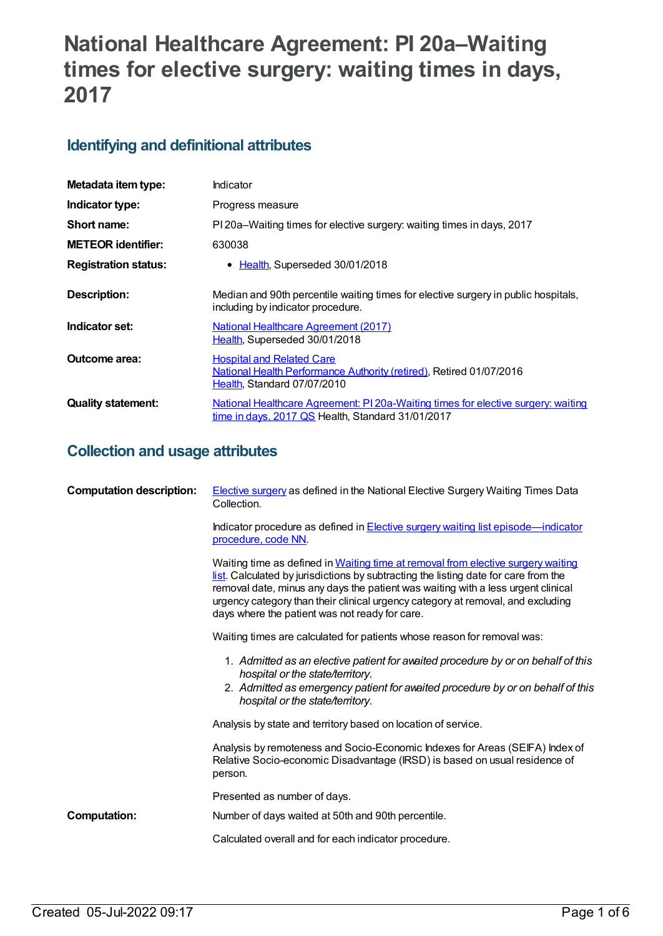# **National Healthcare Agreement: PI 20a–Waiting times for elective surgery: waiting times in days, 2017**

# **Identifying and definitional attributes**

| Metadata item type:         | Indicator                                                                                                                                |
|-----------------------------|------------------------------------------------------------------------------------------------------------------------------------------|
| Indicator type:             | Progress measure                                                                                                                         |
| Short name:                 | PI 20a–Waiting times for elective surgery: waiting times in days, 2017                                                                   |
| <b>METEOR identifier:</b>   | 630038                                                                                                                                   |
| <b>Registration status:</b> | • Health, Superseded 30/01/2018                                                                                                          |
| Description:                | Median and 90th percentile waiting times for elective surgery in public hospitals,<br>including by indicator procedure.                  |
| Indicator set:              | <b>National Healthcare Agreement (2017)</b><br>Health, Superseded 30/01/2018                                                             |
| <b>Outcome area:</b>        | <b>Hospital and Related Care</b><br>National Health Performance Authority (retired), Retired 01/07/2016<br>Health, Standard 07/07/2010   |
| <b>Quality statement:</b>   | National Healthcare Agreement: PI 20a-Waiting times for elective surgery: waiting<br>$time$ in days, 2017 QS Health, Standard 31/01/2017 |

# **Collection and usage attributes**

| <b>Computation description:</b> | <b>Elective surgery as defined in the National Elective Surgery Waiting Times Data</b><br>Collection.                                                                                                                                                                                                                                                                                            |
|---------------------------------|--------------------------------------------------------------------------------------------------------------------------------------------------------------------------------------------------------------------------------------------------------------------------------------------------------------------------------------------------------------------------------------------------|
|                                 | Indicator procedure as defined in <b>Elective surgery waiting list episode—indicator</b><br>procedure, code NN.                                                                                                                                                                                                                                                                                  |
|                                 | Waiting time as defined in Waiting time at removal from elective surgery waiting<br>list. Calculated by jurisdictions by subtracting the listing date for care from the<br>removal date, minus any days the patient was waiting with a less urgent clinical<br>urgency category than their clinical urgency category at removal, and excluding<br>days where the patient was not ready for care. |
|                                 | Waiting times are calculated for patients whose reason for removal was:                                                                                                                                                                                                                                                                                                                          |
|                                 | 1. Admitted as an elective patient for awaited procedure by or on behalf of this<br>hospital or the state/territory.<br>2. Admitted as emergency patient for avaited procedure by or on behalf of this<br>hospital or the state/territory.                                                                                                                                                       |
|                                 | Analysis by state and territory based on location of service.                                                                                                                                                                                                                                                                                                                                    |
|                                 | Analysis by remoteness and Socio-Economic Indexes for Areas (SEIFA) Index of<br>Relative Socio-economic Disadvantage (IRSD) is based on usual residence of<br>person.                                                                                                                                                                                                                            |
|                                 | Presented as number of days.                                                                                                                                                                                                                                                                                                                                                                     |
| <b>Computation:</b>             | Number of days waited at 50th and 90th percentile.                                                                                                                                                                                                                                                                                                                                               |
|                                 | Calculated overall and for each indicator procedure.                                                                                                                                                                                                                                                                                                                                             |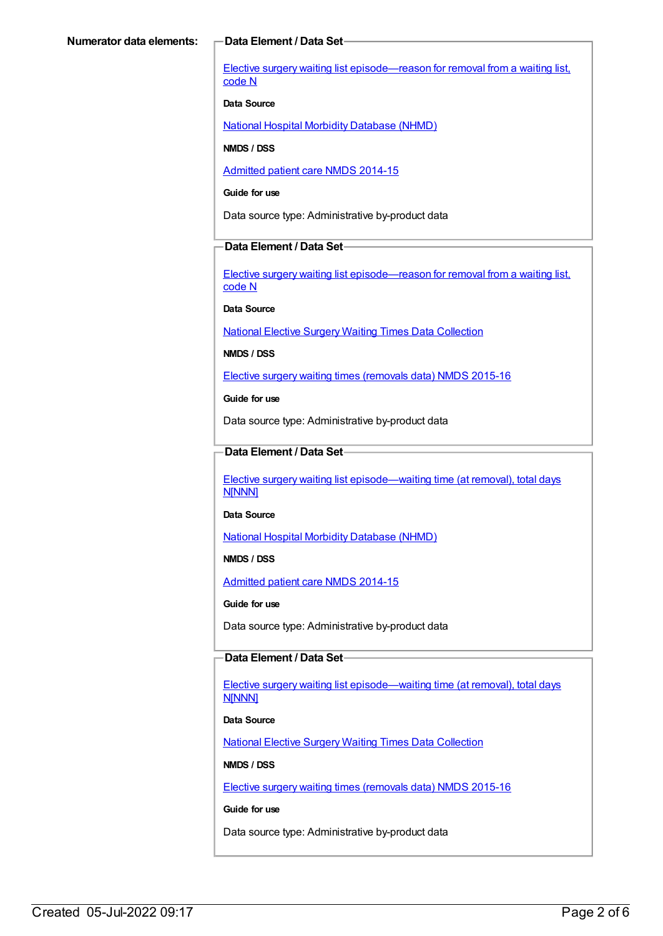Elective surgery waiting list [episode—reason](https://meteor.aihw.gov.au/content/471735) for removal from a waiting list, code N

#### **Data Source**

National Hospital Morbidity [Database](https://meteor.aihw.gov.au/content/394352) (NHMD)

**NMDS / DSS**

[Admitted](https://meteor.aihw.gov.au/content/535047) patient care NMDS 2014-15

**Guide for use**

Data source type: Administrative by-product data

#### **Data Element / Data Set**

Elective surgery waiting list [episode—reason](https://meteor.aihw.gov.au/content/471735) for removal from a waiting list, code N

**Data Source**

National Elective Surgery Waiting Times Data [Collection](https://meteor.aihw.gov.au/content/395071)

**NMDS / DSS**

Elective surgery waiting times [\(removals](https://meteor.aihw.gov.au/content/600056) data) NMDS 2015-16

**Guide for use**

Data source type: Administrative by-product data

### **Data Element / Data Set**

Elective surgery waiting list [episode—waiting](https://meteor.aihw.gov.au/content/471744) time (at removal), total days N[NNN]

**Data Source**

National Hospital Morbidity [Database](https://meteor.aihw.gov.au/content/394352) (NHMD)

**NMDS / DSS**

[Admitted](https://meteor.aihw.gov.au/content/535047) patient care NMDS 2014-15

**Guide for use**

Data source type: Administrative by-product data

### **Data Element / Data Set**

Elective surgery waiting list [episode—waiting](https://meteor.aihw.gov.au/content/471744) time (at removal), total days **N[NNN]** 

**Data Source**

National Elective Surgery Waiting Times Data [Collection](https://meteor.aihw.gov.au/content/395071)

**NMDS / DSS**

Elective surgery waiting times [\(removals](https://meteor.aihw.gov.au/content/600056) data) NMDS 2015-16

**Guide for use**

Data source type: Administrative by-product data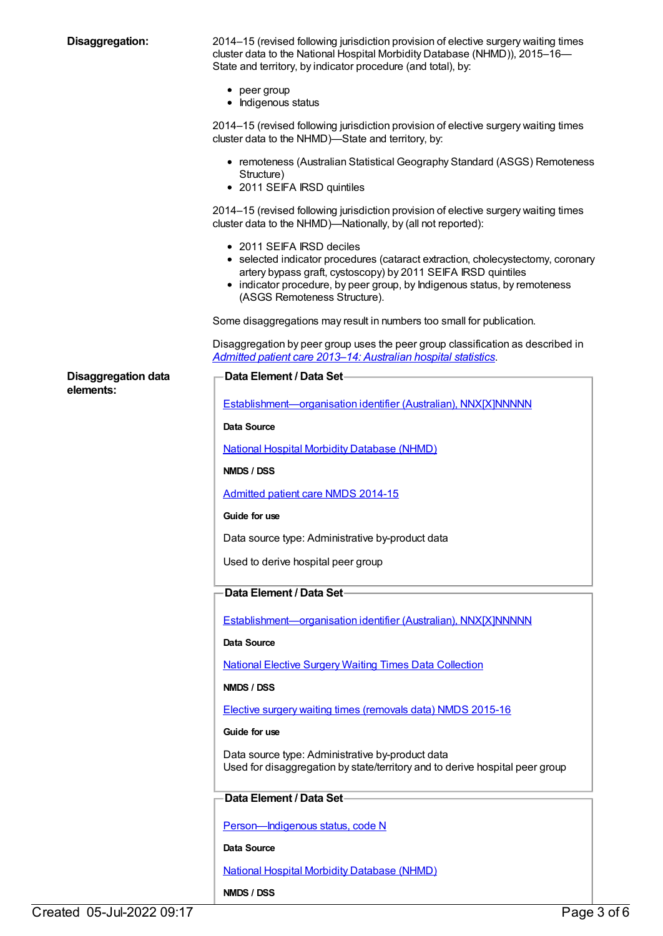**Disaggregation:** 2014–15 (revised following jurisdiction provision of elective surgery waiting times cluster data to the National Hospital Morbidity Database (NHMD)), 2015–16— State and territory, by indicator procedure (and total), by:

- peer group
- Indigenous status

2014–15 (revised following jurisdiction provision of elective surgery waiting times cluster data to the NHMD)—State and territory, by:

- remoteness (Australian Statistical Geography Standard (ASGS) Remoteness Structure)
- 2011 SEIFA IRSD quintiles

2014–15 (revised following jurisdiction provision of elective surgery waiting times cluster data to the NHMD)—Nationally, by (all not reported):

• 2011 SEIFA IRSD deciles

**Data Element / Data Set**

- selected indicator procedures (cataract extraction, cholecystectomy, coronary artery bypass graft, cystoscopy) by 2011 SEIFA IRSD quintiles
- indicator procedure, by peer group, by Indigenous status, by remoteness (ASGS Remoteness Structure).

Some disaggregations may result in numbers too small for publication.

Disaggregation by peer group uses the peer group classification as described in *Admitted patient care 2013–14: [Australian](http://www.aihw.gov.au/publication-detail/?id=60129550483) hospital statistics*.

**Disaggregation data elements:**

| Establishment-organisation identifier (Australian), NNX[X]NNNNN                                                                  |  |  |
|----------------------------------------------------------------------------------------------------------------------------------|--|--|
| <b>Data Source</b>                                                                                                               |  |  |
| <b>National Hospital Morbidity Database (NHMD)</b>                                                                               |  |  |
| NMDS / DSS                                                                                                                       |  |  |
| Admitted patient care NMDS 2014-15                                                                                               |  |  |
| Guide for use                                                                                                                    |  |  |
| Data source type: Administrative by-product data                                                                                 |  |  |
| Used to derive hospital peer group                                                                                               |  |  |
| <b>Data Element / Data Set-</b>                                                                                                  |  |  |
| Establishment-organisation identifier (Australian), NNX[X]NNNNN                                                                  |  |  |
| Data Source                                                                                                                      |  |  |
| <b>National Elective Surgery Waiting Times Data Collection</b>                                                                   |  |  |
| NMDS / DSS                                                                                                                       |  |  |
| Elective surgery waiting times (removals data) NMDS 2015-16                                                                      |  |  |
| Guide for use                                                                                                                    |  |  |
| Data source type: Administrative by-product data<br>Used for disaggregation by state/territory and to derive hospital peer group |  |  |
| Data Element / Data Set-                                                                                                         |  |  |
| Person-Indigenous status, code N                                                                                                 |  |  |
| <b>Data Source</b>                                                                                                               |  |  |
| <b>National Hospital Morbidity Database (NHMD)</b>                                                                               |  |  |
| NMDS / DSS                                                                                                                       |  |  |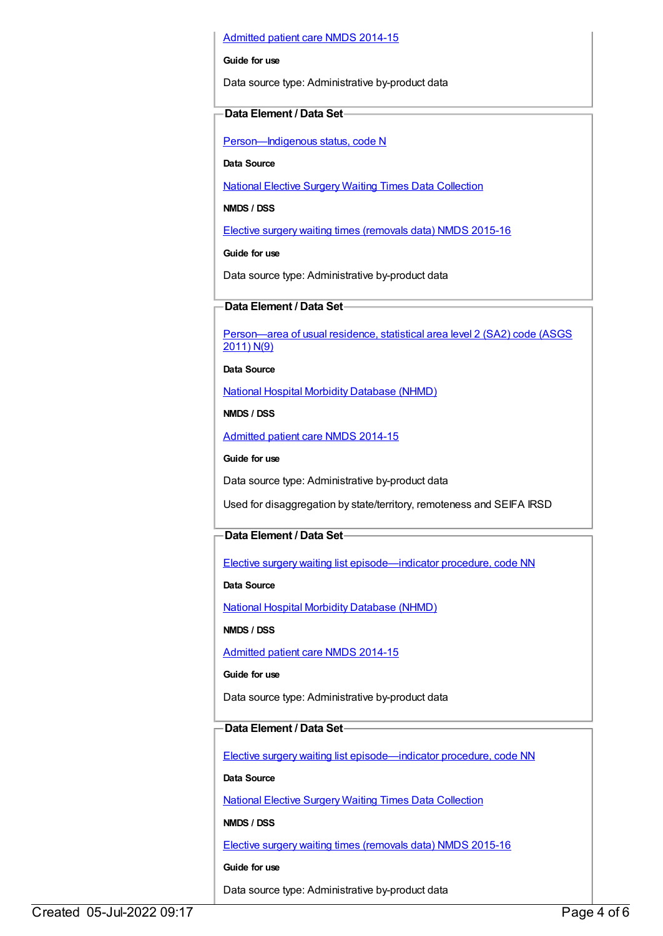#### [Admitted](https://meteor.aihw.gov.au/content/535047) patient care NMDS 2014-15

#### **Guide for use**

Data source type: Administrative by-product data

#### **Data Element / Data Set**

[Person—Indigenous](https://meteor.aihw.gov.au/content/291036) status, code N

**Data Source**

National Elective Surgery Waiting Times Data [Collection](https://meteor.aihw.gov.au/content/395071)

**NMDS / DSS**

Elective surgery waiting times [\(removals](https://meteor.aihw.gov.au/content/600056) data) NMDS 2015-16

**Guide for use**

Data source type: Administrative by-product data

### **Data Element / Data Set**

[Person—area](https://meteor.aihw.gov.au/content/469909) of usual residence, statistical area level 2 (SA2) code (ASGS 2011) N(9)

**Data Source**

National Hospital Morbidity [Database](https://meteor.aihw.gov.au/content/394352) (NHMD)

**NMDS / DSS**

[Admitted](https://meteor.aihw.gov.au/content/535047) patient care NMDS 2014-15

**Guide for use**

Data source type: Administrative by-product data

Used for disaggregation by state/territory, remoteness and SEIFA IRSD

### **Data Element / Data Set**

Elective surgery waiting list [episode—indicator](https://meteor.aihw.gov.au/content/472513) procedure, code NN

**Data Source**

National Hospital Morbidity [Database](https://meteor.aihw.gov.au/content/394352) (NHMD)

**NMDS / DSS**

[Admitted](https://meteor.aihw.gov.au/content/535047) patient care NMDS 2014-15

#### **Guide for use**

Data source type: Administrative by-product data

## **Data Element / Data Set**

Elective surgery waiting list [episode—indicator](https://meteor.aihw.gov.au/content/514033) procedure, code NN

**Data Source**

National Elective Surgery Waiting Times Data [Collection](https://meteor.aihw.gov.au/content/395071)

**NMDS / DSS**

Elective surgery waiting times [\(removals](https://meteor.aihw.gov.au/content/600056) data) NMDS 2015-16

**Guide for use**

Data source type: Administrative by-product data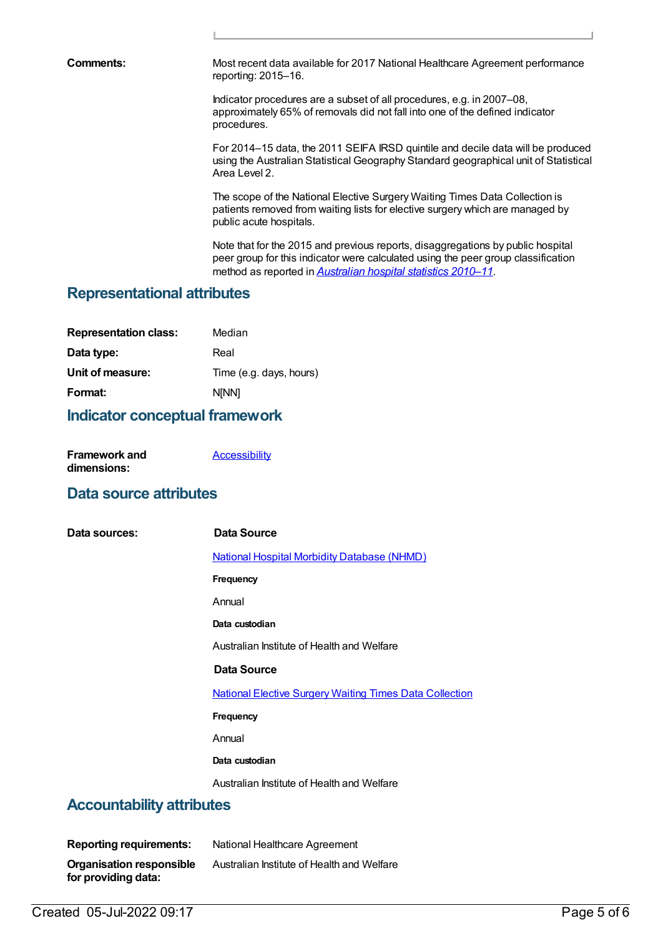**Comments:** Most recent data available for 2017 National Healthcare Agreement performance reporting: 2015–16.

> Indicator procedures are a subset of all procedures, e.g. in 2007–08, approximately 65% of removals did not fall into one of the defined indicator procedures.

For 2014–15 data, the 2011 SEIFA IRSD quintile and decile data will be produced using the Australian Statistical Geography Standard geographical unit of Statistical Area Level 2.

The scope of the National Elective Surgery Waiting Times Data Collection is patients removed from waiting lists for elective surgery which are managed by public acute hospitals.

Note that for the 2015 and previous reports, disaggregations by public hospital peer group for this indicator were calculated using the peer group classification method as reported in *[Australian](http://www.aihw.gov.au/publication-detail/?id=10737421633) hospital statistics 2010–11*.

## **Representational attributes**

| Median                  |
|-------------------------|
| Real                    |
| Time (e.g. days, hours) |
| <b>NINN1</b>            |
|                         |

## **Indicator conceptual framework**

| <b>Framework and</b> | <b>Accessibility</b> |
|----------------------|----------------------|
| dimensions:          |                      |

# **Data source attributes**

| Data sources:                    | Data Source                                                    |
|----------------------------------|----------------------------------------------------------------|
|                                  | <b>National Hospital Morbidity Database (NHMD)</b>             |
|                                  | <b>Frequency</b>                                               |
|                                  | Annual                                                         |
|                                  | Data custodian                                                 |
|                                  | Australian Institute of Health and Welfare                     |
|                                  | Data Source                                                    |
|                                  | <b>National Elective Surgery Waiting Times Data Collection</b> |
|                                  | <b>Frequency</b>                                               |
|                                  | Annual                                                         |
|                                  | Data custodian                                                 |
|                                  | Australian Institute of Health and Welfare                     |
| <b>Accountability attributes</b> |                                                                |
|                                  |                                                                |

| <b>Reporting requirements:</b>  | National Healthcare Agreement              |
|---------------------------------|--------------------------------------------|
| <b>Organisation responsible</b> | Australian Institute of Health and Welfare |
| for providing data:             |                                            |